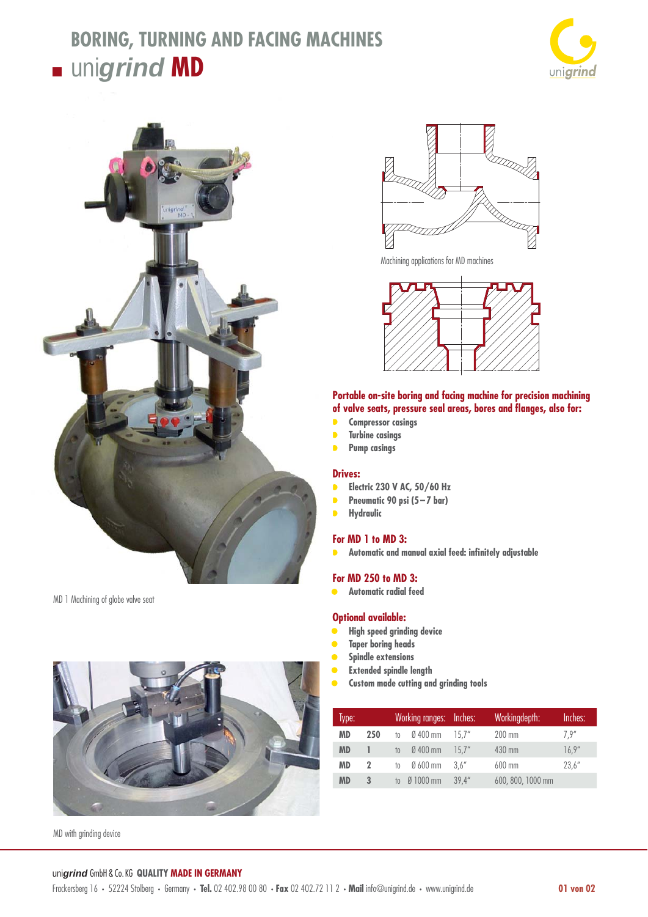## **BORING, TURNING AND FACING MACHINES**  $\blacksquare$  unigrind **MD**





MD 1 Machining of globe valve seat



MD with grinding device



Machining applications for MD machines



### **Portable on-site boring and facing machine for precision machining**  of valve seats, pressure seal areas, bores and flanges, also for:

- **• Compressor casings**
- **• Turbine casings**
- **• Pump casings**

#### **Drives:**

- **• Electric 230 V AC, 50/60 Hz**
- **• Pneumatic 90 psi (5-7 bar)**
- **• Hydraulic**

#### **For MD 1 to MD 3:**

**•** Automatic and manual axial feed: infinitely adjustable

#### **For MD 250 to MD 3:**

**• Automatic radial feed**

#### **Optional available:**

- **• High speed grinding device**
- **• Taper boring heads**
- **• Spindle extensions**
- **• Extended spindle length**
- **• Custom made cutting and grinding tools**

| Type:     | Working ranges: Inches: |      |                      | Workingdepth: | Inches:           |        |
|-----------|-------------------------|------|----------------------|---------------|-------------------|--------|
| MD        | 250                     | to   | $\emptyset$ 400 mm   | 15.7''        | 200 mm            | 7.9''  |
| <b>MD</b> |                         | $10$ | $\varnothing$ 400 mm | 15.7''        | 430 mm            | 16.9'' |
| MD        | 2                       | to   | $Ø600$ mm            | 3.6''         | $600$ mm          | 23.6'' |
| <b>MD</b> | 3                       | to   | $\emptyset$ 1000 mm  | 39.4''        | 600, 800, 1000 mm |        |

#### uni*grind* GmbH & Co. KG **QUALITY MADE IN GERMANY**